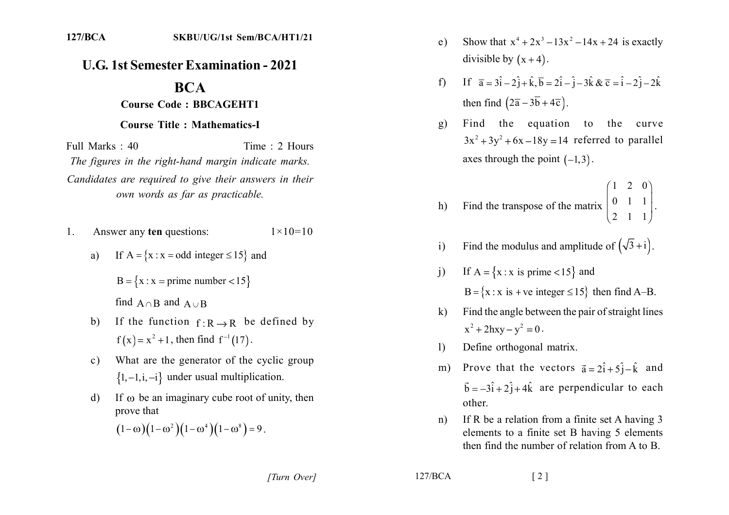## **U.G. 1st Semester Examination - 2021**

## **BCA**

## **Course Code: BBCAGEHT1**

## **Course Title: Mathematics-I**

Full Marks: 40 Time: 2 Hours The figures in the right-hand margin indicate marks. Candidates are required to give their answers in their own words as far as practicable.

- Answer any ten questions:  $1 \times 10 = 10$  $\mathbf{1}$ .
	- a) If  $A = \{x : x = odd \ integer \le 15\}$  and

 $B = \{x : x = prime number < 15\}$ 

find  $A \cap B$  and  $A \cup B$ 

- If the function  $f: R \to R$  be defined by  $b)$  $f(x) = x^2 + 1$ , then find  $f^{-1}(17)$ .
- What are the generator of the cyclic group  $c)$  $\{1,-1,i,-i\}$  under usual multiplication.
- If  $\omega$  be an imaginary cube root of unity, then  $\mathbf{d}$ prove that

$$
(1-\omega)(1-\omega^2)(1-\omega^4)(1-\omega^8)=9.
$$

- Show that  $x^4 + 2x^3 13x^2 14x + 24$  is exactly  $e)$ divisible by  $(x+4)$ .
- f) If  $\bar{a} = 3\hat{i} 2\hat{j} + \hat{k}, \bar{b} = 2\hat{i} \hat{j} 3\hat{k}$  &  $\bar{c} = \hat{i} 2\hat{j} 2\hat{k}$ then find  $(2\overline{a}-3\overline{b}+4\overline{c})$ .
- Find the equation to the curve  $g)$  $3x^{2} + 3y^{2} + 6x - 18y = 14$  referred to parallel axes through the point  $(-1,3)$ .
- Find the transpose of the matrix  $\begin{pmatrix} 1 & 2 & 0 \\ 0 & 1 & 1 \\ 2 & 1 & 1 \end{pmatrix}$ .  $h)$
- Find the modulus and amplitude of  $(\sqrt{3} + i)$ .  $i)$
- If  $A = \{x : x \text{ is prime} < 15\}$  and  $\mathbf{i}$  $B = \{x : x \text{ is } +ve \text{ integer } \le 15\}$  then find A-B.
- Find the angle between the pair of straight lines  $\bf k$  $x^2 + 2hxy - y^2 = 0$ .
- Define orthogonal matrix.  $\mathbf{D}$
- m) Prove that the vectors  $\vec{a} = 2\hat{i} + 5\hat{j} \hat{k}$  and  $\vec{b} = -3\hat{i} + 2\hat{j} + 4\hat{k}$  are perpendicular to each other.
- If R be a relation from a finite set A having 3  $n)$ elements to a finite set B having 5 elements then find the number of relation from A to B.

 $127/BCA$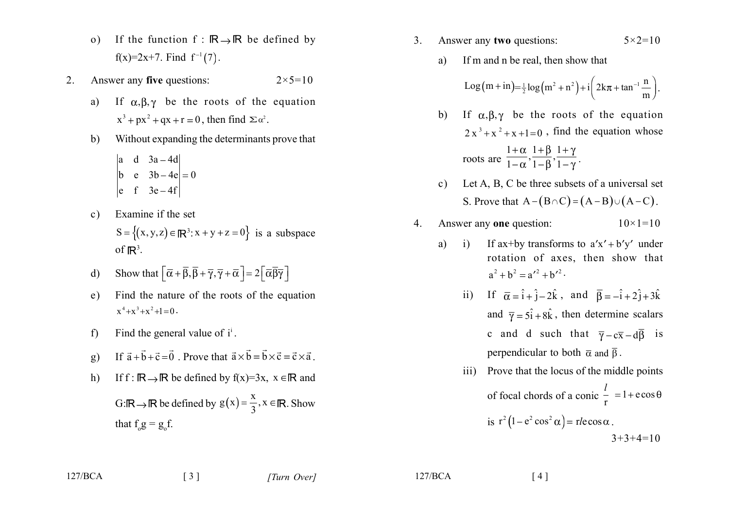- If the function  $f : \mathbb{R} \rightarrow \mathbb{R}$  be defined by  $\Omega$  $f(x)=2x+7$ . Find  $f^{-1}(7)$ .
- $2<sub>1</sub>$ Answer any five questions:  $2 \times 5 = 10$ 
	- If  $\alpha, \beta, \gamma$  be the roots of the equation a)  $x^3 + px^2 + qx + r = 0$ , then find  $\sum \alpha^2$ .
	- Without expanding the determinants prove that  $b)$ 
		- $\begin{vmatrix} a & d & 3a 4d \\ b & e & 3b 4e \end{vmatrix} = 0$
	- Examine if the set  $c)$ 
		- $S = \{(x, y, z) \in \mathbb{R}^3 : x + y + z = 0\}$  is a subspace of  $\mathbb{R}^3$ .
	- Show that  $\left[\overline{\alpha} + \overline{\beta}, \overline{\beta} + \overline{\gamma}, \overline{\gamma} + \overline{\alpha}\right] = 2\left[\overline{\alpha}\overline{\beta}\overline{\gamma}\right]$  $d)$
	- Find the nature of the roots of the equation  $e)$  $x^4 + x^3 + x^2 + 1 = 0$ .
	- Find the general value of  $i^i$ .  $f$
	- If  $\vec{a} + \vec{b} + \vec{c} = \vec{0}$ . Prove that  $\vec{a} \times \vec{b} = \vec{b} \times \vec{c} = \vec{c} \times \vec{a}$ .  $g)$
	- $h)$ If  $f : \mathbb{R} \to \mathbb{R}$  be defined by  $f(x)=3x$ ,  $x \in \mathbb{R}$  and

 $\lceil 3 \rceil$ 

G: R o R be defined by  $g(x) = \frac{x}{3}$ ,  $x \in \mathbb{R}$ . Show that  $f_{g} = g_{f}$ .

- Answer any two questions:  $3<sub>1</sub>$  $5 \times 2 = 10$ 
	- If m and n be real, then show that a)

Log
$$
(m + in)
$$
= $\frac{1}{2}$ log $(m^2 + n^2)$ + $i\left(2k\pi + \tan^{-1}\frac{n}{m}\right)$ .

- b) If  $\alpha, \beta, \gamma$  be the roots of the equation  $2x^3 + x^2 + x + 1 = 0$ , find the equation whose roots are  $\frac{1+\alpha}{1-\alpha}, \frac{1+\beta}{1-\beta}, \frac{1+\gamma}{1-\gamma}$ .
- Let A, B, C be three subsets of a universal set  $\mathbf{c}$ ) S. Prove that  $A-(B\cap C)=(A-B)\cup(A-C)$ .
- Answer any one question:  $\overline{4}$ .  $10 \times 1 = 10$ 
	- a) If ax+by transforms to  $a'x' + b'y'$  under  $\ddot{1}$ rotation of axes, then show that  $a^{2} + b^{2} = a'^{2} + b'^{2}$ .
		- ii) If  $\overline{\alpha} = \hat{i} + \hat{i} 2\hat{k}$ , and  $\overline{\beta} = -\hat{i} + 2\hat{i} + 3\hat{k}$ and  $\overline{\gamma} = 5\hat{i} + 8\hat{k}$ , then determine scalars c and d such that  $\overline{\gamma}-c\overline{x}-d\overline{\beta}$  is perpendicular to both  $\bar{\alpha}$  and  $\bar{\beta}$ .
		- Prove that the locus of the middle points  $\overline{111}$ of focal chords of a conic  $\frac{l}{r} = 1 + e \cos \theta$ is  $r^2(1-e^2\cos^2\alpha) = r\cdot e\cos\alpha$ .  $3+3+4=10$

 $127/BCA$